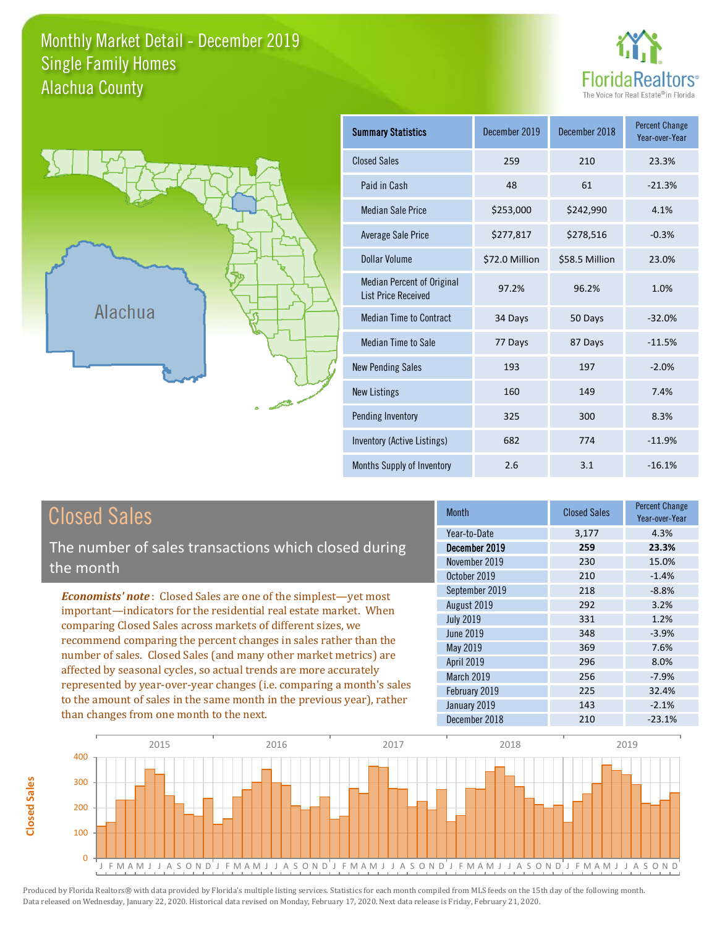# Monthly Market Detail - December 2019 Alachua County Single Family Homes





**Closed Sales**

**Closed Sales** 

| <b>Summary Statistics</b>                                       | December 2019  | December 2018  | <b>Percent Change</b><br>Year-over-Year |
|-----------------------------------------------------------------|----------------|----------------|-----------------------------------------|
| <b>Closed Sales</b>                                             | 259            | 210            | 23.3%                                   |
| Paid in Cash                                                    | 48             | 61             | $-21.3%$                                |
| <b>Median Sale Price</b>                                        | \$253,000      | \$242,990      | 4.1%                                    |
| Average Sale Price                                              | \$277,817      | \$278,516      | $-0.3%$                                 |
| Dollar Volume                                                   | \$72.0 Million | \$58.5 Million | 23.0%                                   |
| <b>Median Percent of Original</b><br><b>List Price Received</b> | 97.2%          | 96.2%          | 1.0%                                    |
| <b>Median Time to Contract</b>                                  | 34 Days        | 50 Days        | $-32.0%$                                |
| <b>Median Time to Sale</b>                                      | 77 Days        | 87 Days        | $-11.5%$                                |
| <b>New Pending Sales</b>                                        | 193            | 197            | $-2.0%$                                 |
| <b>New Listings</b>                                             | 160            | 149            | 7.4%                                    |
| Pending Inventory                                               | 325            | 300            | 8.3%                                    |
| Inventory (Active Listings)                                     | 682            | 774            | $-11.9%$                                |
| Months Supply of Inventory                                      | 2.6            | 3.1            | $-16.1%$                                |

| <b>Closed Sales</b>                                                                                                                                                                                                                                                                                                                                                                                                                                                                                                                                                                                                      | <b>Month</b>                                                                                                                                                    | <b>Closed Sales</b>                                                | <b>Percent Change</b><br>Year-over-Year                                                       |
|--------------------------------------------------------------------------------------------------------------------------------------------------------------------------------------------------------------------------------------------------------------------------------------------------------------------------------------------------------------------------------------------------------------------------------------------------------------------------------------------------------------------------------------------------------------------------------------------------------------------------|-----------------------------------------------------------------------------------------------------------------------------------------------------------------|--------------------------------------------------------------------|-----------------------------------------------------------------------------------------------|
| The number of sales transactions which closed during<br>the month                                                                                                                                                                                                                                                                                                                                                                                                                                                                                                                                                        | Year-to-Date<br>December 2019<br>November 2019<br>October 2019                                                                                                  | 3,177<br>259<br>230<br>210                                         | 4.3%<br>23.3%<br>15.0%<br>$-1.4%$                                                             |
| <b>Economists' note:</b> Closed Sales are one of the simplest—yet most<br>important—indicators for the residential real estate market. When<br>comparing Closed Sales across markets of different sizes, we<br>recommend comparing the percent changes in sales rather than the<br>number of sales. Closed Sales (and many other market metrics) are<br>affected by seasonal cycles, so actual trends are more accurately<br>represented by year-over-year changes (i.e. comparing a month's sales<br>to the amount of sales in the same month in the previous year), rather<br>than changes from one month to the next. | September 2019<br>August 2019<br><b>July 2019</b><br>June 2019<br>May 2019<br><b>April 2019</b><br>March 2019<br>February 2019<br>January 2019<br>December 2018 | 218<br>292<br>331<br>348<br>369<br>296<br>256<br>225<br>143<br>210 | $-8.8%$<br>3.2%<br>1.2%<br>$-3.9%$<br>7.6%<br>8.0%<br>$-7.9%$<br>32.4%<br>$-2.1%$<br>$-23.1%$ |

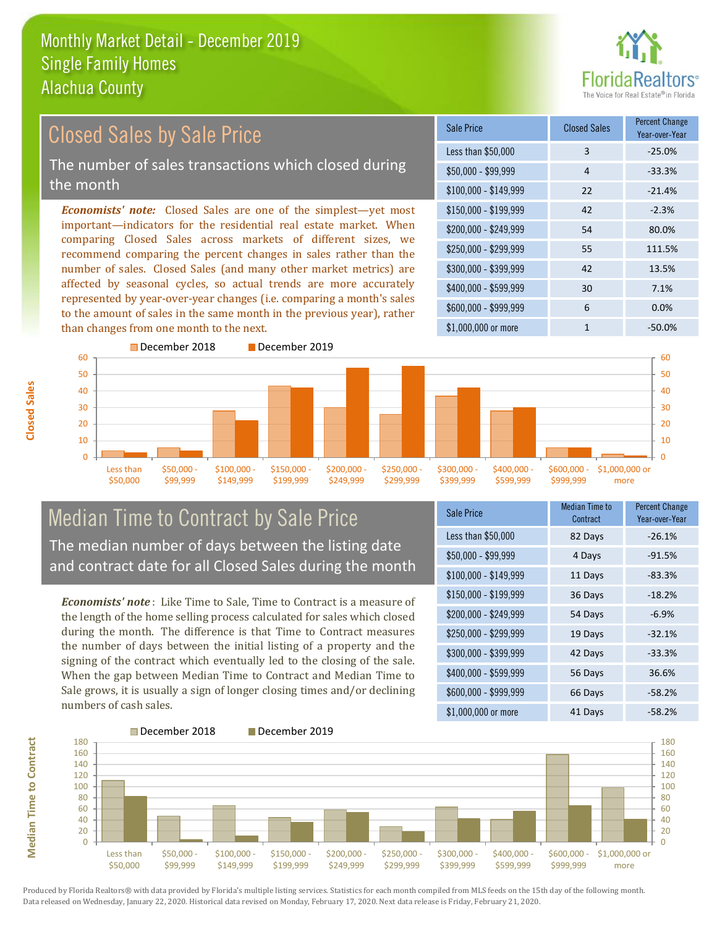

#### *Economists' note:* Closed Sales are one of the simplest—yet most important—indicators for the residential real estate market. When comparing Closed Sales across markets of different sizes, we recommend comparing the percent changes in sales rather than the number of sales. Closed Sales (and many other market metrics) are affected by seasonal cycles, so actual trends are more accurately represented by year-over-year changes (i.e. comparing a month's sales to the amount of sales in the same month in the previous year), rather than changes from one month to the next. \$1,000,000 or more 1  $-50.0\%$ \$250,000 - \$299,999 55 111.5% \$300,000 - \$399,999 42 13.5% \$400,000 - \$599,999 30 7.1% \$600,000 - \$999,999 6 0.0%  $$150.000 - $199.999$  42 -2.3% \$200,000 - \$249,999 54 80.0%  $$100,000 - $149,999$  22 -21.4% Sale Price Closed Sales Percent Change Year-over-Year Less than \$50,000 3 -25.0%  $$50,000 - $99,999$  4 -33.3% December 2018 December 2019 60 Closed Sales by Sale Price The number of sales transactions which closed during the month



# Median Time to Contract by Sale Price The median number of days between the listing date and contract date for all Closed Sales during the month

during the month. The difference is that Time to Contract measures the number of days between the initial listing of a property and the signing of the contract which eventually led to the closing of the sale. Sale grows, it is usually a sign of longer closing times and/or declining numbers of cash sales.

| Sale Price            | <b>Median Time to</b><br>Contract | <b>Percent Change</b><br>Year-over-Year |
|-----------------------|-----------------------------------|-----------------------------------------|
| Less than \$50,000    | 82 Days                           | $-26.1%$                                |
| \$50,000 - \$99,999   | 4 Days                            | $-91.5%$                                |
| $$100,000 - $149,999$ | 11 Days                           | $-83.3%$                                |
| \$150,000 - \$199,999 | 36 Days                           | $-18.2%$                                |
| \$200,000 - \$249,999 | 54 Days                           | $-6.9%$                                 |
| \$250,000 - \$299,999 | 19 Days                           | $-32.1%$                                |
| \$300,000 - \$399,999 | 42 Days                           | $-33.3%$                                |
| \$400,000 - \$599,999 | 56 Days                           | 36.6%                                   |
| \$600,000 - \$999,999 | 66 Days                           | $-58.2%$                                |
| \$1,000,000 or more   | 41 Days                           | $-58.2%$                                |



**Closed Sales**

*Economists' note* : Like Time to Sale, Time to Contract is a measure of the length of the home selling process calculated for sales which closed When the gap between Median Time to Contract and Median Time to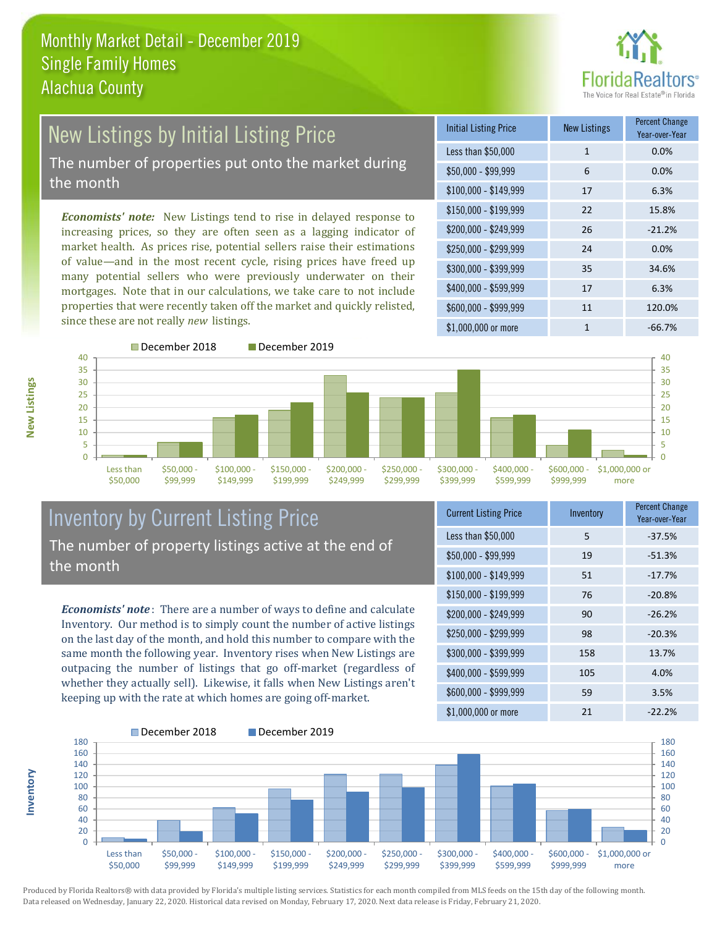

# New Listings by Initial Listing Price The number of properties put onto the market during the month

*Economists' note:* New Listings tend to rise in delayed response to increasing prices, so they are often seen as a lagging indicator of market health. As prices rise, potential sellers raise their estimations of value—and in the most recent cycle, rising prices have freed up many potential sellers who were previously underwater on their mortgages. Note that in our calculations, we take care to not include properties that were recently taken off the market and quickly relisted, since these are not really *new* listings.

| <b>Initial Listing Price</b> | <b>New Listings</b> | <b>Percent Change</b><br>Year-over-Year |
|------------------------------|---------------------|-----------------------------------------|
| Less than \$50,000           | $\mathbf{1}$        | 0.0%                                    |
| $$50,000 - $99,999$          | 6                   | 0.0%                                    |
| $$100,000 - $149,999$        | 17                  | 6.3%                                    |
| $$150,000 - $199,999$        | 22                  | 15.8%                                   |
| \$200,000 - \$249,999        | 26                  | $-21.2%$                                |
| \$250,000 - \$299,999        | 24                  | 0.0%                                    |
| \$300,000 - \$399,999        | 35                  | 34.6%                                   |
| \$400,000 - \$599,999        | 17                  | 6.3%                                    |
| \$600,000 - \$999,999        | 11                  | 120.0%                                  |
| \$1,000,000 or more          | 1                   | $-66.7%$                                |



\$199,999

\$249,999



# Inventory by Current Listing Price The number of property listings active at the end of the month

\$149,999

\$99,999

*Economists' note* : There are a number of ways to define and calculate Inventory. Our method is to simply count the number of active listings on the last day of the month, and hold this number to compare with the same month the following year. Inventory rises when New Listings are outpacing the number of listings that go off-market (regardless of whether they actually sell). Likewise, it falls when New Listings aren't keeping up with the rate at which homes are going off-market.

| <b>Current Listing Price</b> | Inventory | <b>Percent Change</b><br>Year-over-Year |
|------------------------------|-----------|-----------------------------------------|
| Less than \$50,000           | 5         | $-37.5%$                                |
| $$50,000 - $99,999$          | 19        | $-51.3%$                                |
| $$100,000 - $149,999$        | 51        | $-17.7%$                                |
| \$150,000 - \$199,999        | 76        | $-20.8%$                                |
| \$200,000 - \$249,999        | 90        | $-26.2%$                                |
| \$250,000 - \$299,999        | 98        | $-20.3%$                                |
| \$300,000 - \$399,999        | 158       | 13.7%                                   |
| \$400,000 - \$599,999        | 105       | 4.0%                                    |
| \$600,000 - \$999,999        | 59        | 3.5%                                    |
| \$1,000,000 or more          | 21        | $-22.2%$                                |



Produced by Florida Realtors® with data provided by Florida's multiple listing services. Statistics for each month compiled from MLS feeds on the 15th day of the following month. Data released on Wednesday, January 22, 2020. Historical data revised on Monday, February 17, 2020. Next data release is Friday, February 21, 2020.

\$50,000

**Inventory**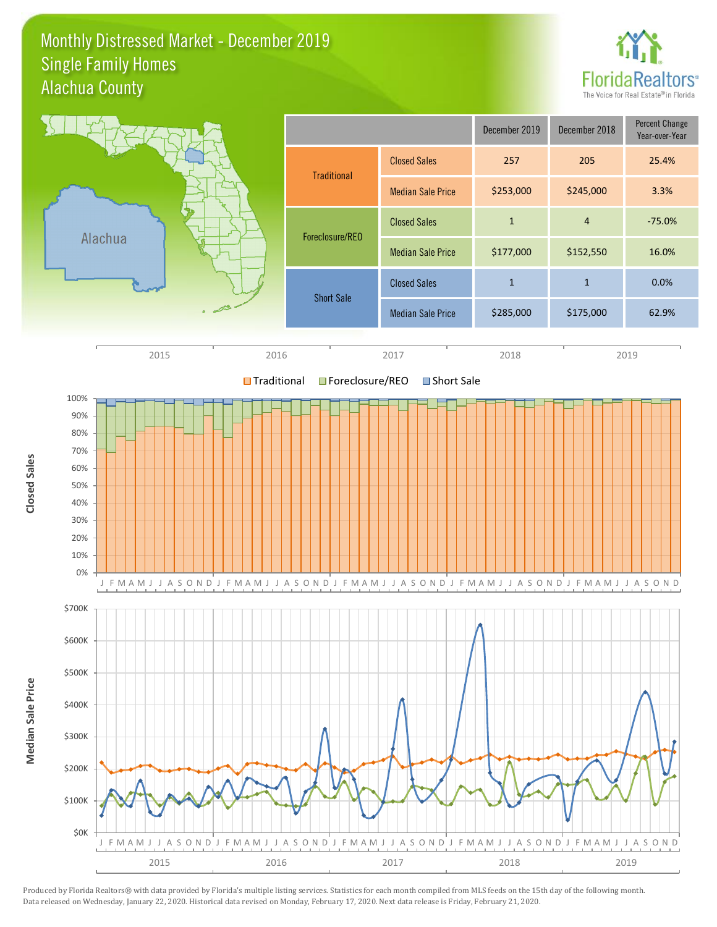### Monthly Distressed Market - December 2019 Alachua County Single Family Homes



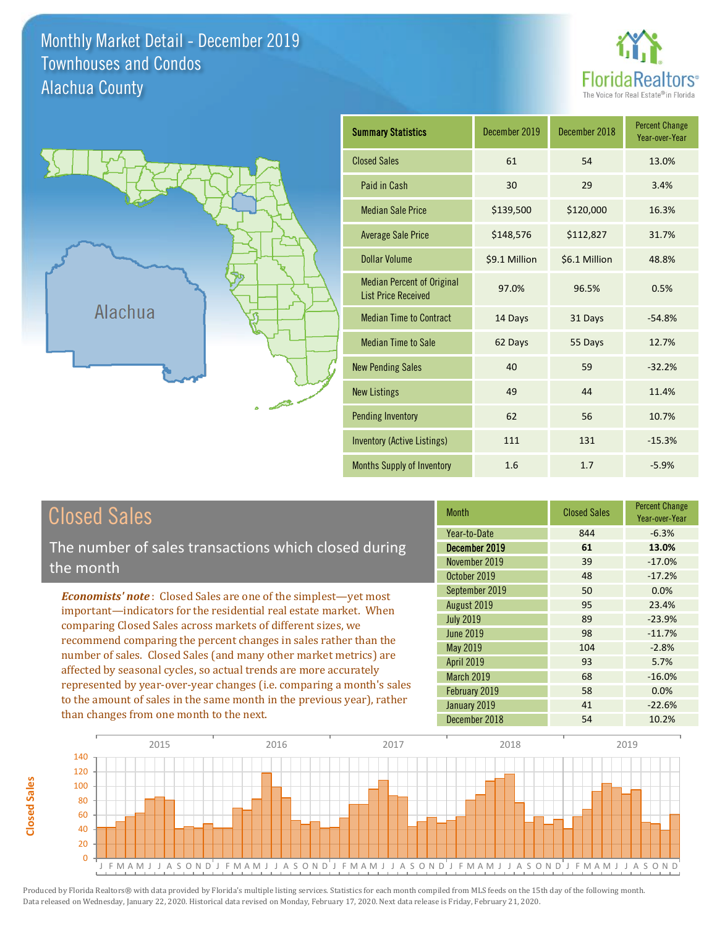Monthly Market Detail - December 2019 Alachua County Townhouses and Condos





| <b>Summary Statistics</b>                                       | December 2019 | December 2018 | <b>Percent Change</b><br>Year-over-Year |
|-----------------------------------------------------------------|---------------|---------------|-----------------------------------------|
| <b>Closed Sales</b>                                             | 61            | 54            | 13.0%                                   |
| Paid in Cash                                                    | 30            | 29            | 3.4%                                    |
| <b>Median Sale Price</b>                                        | \$139,500     | \$120,000     | 16.3%                                   |
| <b>Average Sale Price</b>                                       | \$148,576     | \$112,827     | 31.7%                                   |
| Dollar Volume                                                   | \$9.1 Million | \$6.1 Million | 48.8%                                   |
| <b>Median Percent of Original</b><br><b>List Price Received</b> | 97.0%         | 96.5%         | 0.5%                                    |
| <b>Median Time to Contract</b>                                  | 14 Days       | 31 Days       | $-54.8%$                                |
| <b>Median Time to Sale</b>                                      | 62 Days       | 55 Days       | 12.7%                                   |
| <b>New Pending Sales</b>                                        | 40            | 59            | $-32.2%$                                |
| <b>New Listings</b>                                             | 49            | 44            | 11.4%                                   |
| <b>Pending Inventory</b>                                        | 62            | 56            | 10.7%                                   |
| <b>Inventory (Active Listings)</b>                              | 111           | 131           | $-15.3%$                                |
| <b>Months Supply of Inventory</b>                               | 1.6           | 1.7           | $-5.9%$                                 |

| <b>Closed Sales</b> |
|---------------------|
|---------------------|

The number of sales transactions which closed during the month

*Economists' note* : Closed Sales are one of the simplest—yet most important—indicators for the residential real estate market. When comparing Closed Sales across markets of different sizes, we recommend comparing the percent changes in sales rather than the number of sales. Closed Sales (and many other market metrics) are affected by seasonal cycles, so actual trends are more accurately represented by year-over-year changes (i.e. comparing a month's sales to the amount of sales in the same month in the previous year), rather than changes from one month to the next.

| <b>Month</b>      | <b>Closed Sales</b> | <b>Percent Change</b><br>Year-over-Year |
|-------------------|---------------------|-----------------------------------------|
| Year-to-Date      | 844                 | $-6.3%$                                 |
| December 2019     | 61                  | 13.0%                                   |
| November 2019     | 39                  | $-17.0%$                                |
| October 2019      | 48                  | $-17.2%$                                |
| September 2019    | 50                  | 0.0%                                    |
| August 2019       | 95                  | 23.4%                                   |
| <b>July 2019</b>  | 89                  | $-23.9%$                                |
| June 2019         | 98                  | $-11.7%$                                |
| <b>May 2019</b>   | 104                 | $-2.8%$                                 |
| <b>April 2019</b> | 93                  | 5.7%                                    |
| <b>March 2019</b> | 68                  | $-16.0%$                                |
| February 2019     | 58                  | 0.0%                                    |
| January 2019      | 41                  | $-22.6%$                                |
| December 2018     | 54                  | 10.2%                                   |

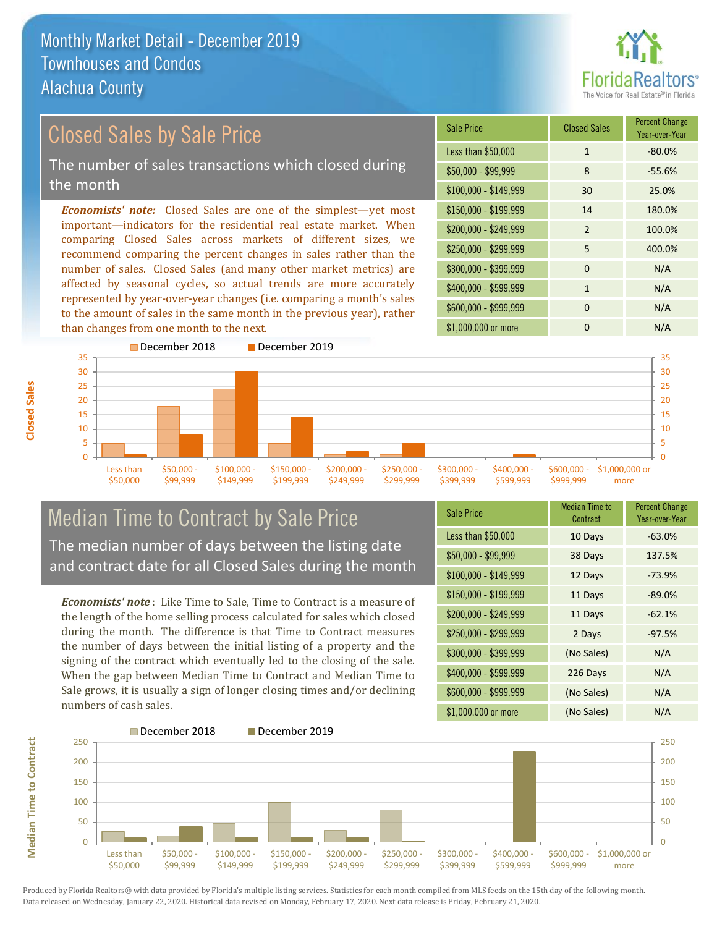than changes from one month to the next.



#### *Economists' note:* Closed Sales are one of the simplest—yet most important—indicators for the residential real estate market. When comparing Closed Sales across markets of different sizes, we recommend comparing the percent changes in sales rather than the number of sales. Closed Sales (and many other market metrics) are affected by seasonal cycles, so actual trends are more accurately represented by year-over-year changes (i.e. comparing a month's sales to the amount of sales in the same month in the previous year), rather \$250,000 - \$299,999 5 400.0% \$300,000 - \$399,999 0 0 N/A  $$400,000 - $599,999$  1 N/A \$600,000 - \$999,999 0 0 N/A \$150,000 - \$199,999 14 180.0% \$200,000 - \$249,999 2 100.0% \$100,000 - \$149,999 30 25.0% Sale Price Closed Sales Percent Change Year-over-Year Less than \$50,000 1 1 -80.0% \$50,000 - \$99,999 8 -55.6% Closed Sales by Sale Price The number of sales transactions which closed during the month



# Median Time to Contract by Sale Price The median number of days between the listing date and contract date for all Closed Sales during the month

*Economists' note* : Like Time to Sale, Time to Contract is a measure of the length of the home selling process calculated for sales which closed during the month. The difference is that Time to Contract measures the number of days between the initial listing of a property and the signing of the contract which eventually led to the closing of the sale. When the gap between Median Time to Contract and Median Time to Sale grows, it is usually a sign of longer closing times and/or declining numbers of cash sales.

| <b>Sale Price</b>     | <b>Median Time to</b><br>Contract | <b>Percent Change</b><br>Year-over-Year |
|-----------------------|-----------------------------------|-----------------------------------------|
| Less than \$50,000    | 10 Days                           | $-63.0%$                                |
| $$50,000 - $99,999$   | 38 Days                           | 137.5%                                  |
| $$100,000 - $149,999$ | 12 Days                           | $-73.9%$                                |
| $$150,000 - $199,999$ | 11 Days                           | $-89.0%$                                |
| \$200,000 - \$249,999 | 11 Days                           | $-62.1%$                                |
| \$250,000 - \$299,999 | 2 Days                            | $-97.5%$                                |
| \$300,000 - \$399,999 | (No Sales)                        | N/A                                     |
| \$400,000 - \$599,999 | 226 Days                          | N/A                                     |
| \$600,000 - \$999,999 | (No Sales)                        | N/A                                     |
| \$1,000,000 or more   | (No Sales)                        | N/A                                     |

\$1,000,000 or more 0 0 N/A

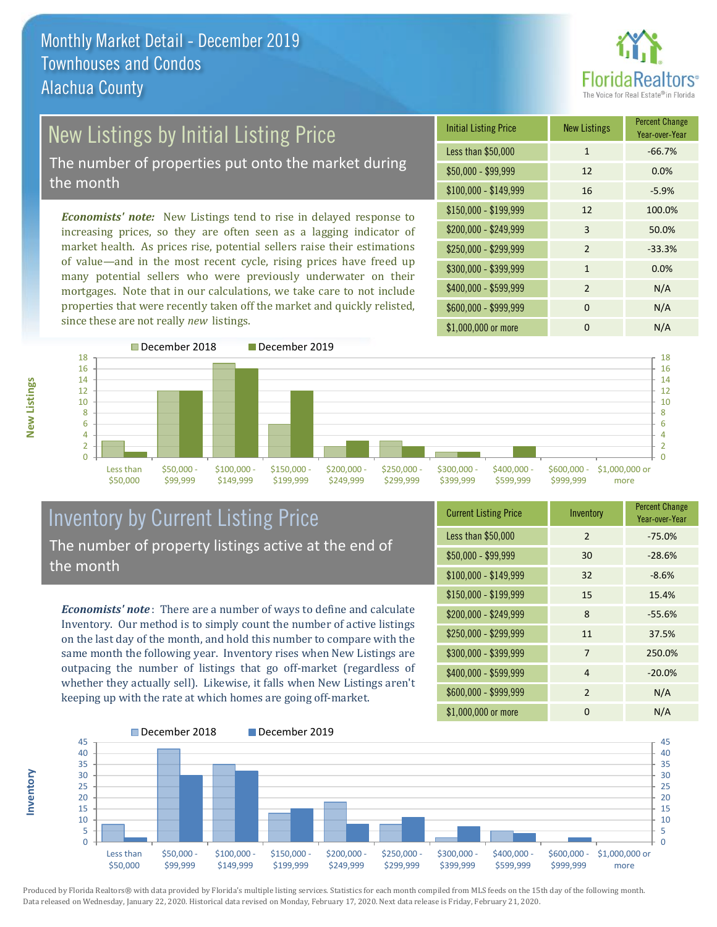

# New Listings by Initial Listing Price

The number of properties put onto the market during the month

*Economists' note:* New Listings tend to rise in delayed response to increasing prices, so they are often seen as a lagging indicator of market health. As prices rise, potential sellers raise their estimations of value—and in the most recent cycle, rising prices have freed up many potential sellers who were previously underwater on their mortgages. Note that in our calculations, we take care to not include properties that were recently taken off the market and quickly relisted, since these are not really *new* listings.

| <b>Initial Listing Price</b> | <b>New Listings</b> | <b>Percent Change</b><br>Year-over-Year |
|------------------------------|---------------------|-----------------------------------------|
| Less than \$50,000           | $\mathbf{1}$        | $-66.7%$                                |
| $$50,000 - $99,999$          | 12                  | 0.0%                                    |
| $$100,000 - $149,999$        | 16                  | $-5.9%$                                 |
| $$150,000 - $199,999$        | 12                  | 100.0%                                  |
| \$200,000 - \$249,999        | 3                   | 50.0%                                   |
| \$250,000 - \$299,999        | $\overline{2}$      | $-33.3%$                                |
| \$300,000 - \$399,999        | $\mathbf{1}$        | 0.0%                                    |
| \$400,000 - \$599,999        | $\mathfrak{p}$      | N/A                                     |
| \$600,000 - \$999,999        | $\Omega$            | N/A                                     |
| \$1,000,000 or more          | O                   | N/A                                     |



# Inventory by Current Listing Price The number of property listings active at the end of the month

*Economists' note* : There are a number of ways to define and calculate Inventory. Our method is to simply count the number of active listings on the last day of the month, and hold this number to compare with the same month the following year. Inventory rises when New Listings are outpacing the number of listings that go off-market (regardless of whether they actually sell). Likewise, it falls when New Listings aren't keeping up with the rate at which homes are going off-market.

| <b>Current Listing Price</b> | Inventory      | <b>Percent Change</b><br>Year-over-Year |
|------------------------------|----------------|-----------------------------------------|
| Less than \$50,000           | $\mathfrak{D}$ | $-75.0%$                                |
| $$50,000 - $99,999$          | 30             | $-28.6%$                                |
| $$100,000 - $149,999$        | 32             | $-8.6%$                                 |
| $$150,000 - $199,999$        | 15             | 15.4%                                   |
| \$200,000 - \$249,999        | 8              | $-55.6%$                                |
| \$250,000 - \$299,999        | 11             | 37.5%                                   |
| \$300,000 - \$399,999        | 7              | 250.0%                                  |
| \$400,000 - \$599,999        | 4              | $-20.0%$                                |
| \$600,000 - \$999,999        | $\overline{2}$ | N/A                                     |
| \$1,000,000 or more          | O              | N/A                                     |



Produced by Florida Realtors® with data provided by Florida's multiple listing services. Statistics for each month compiled from MLS feeds on the 15th day of the following month. Data released on Wednesday, January 22, 2020. Historical data revised on Monday, February 17, 2020. Next data release is Friday, February 21, 2020.

**Inventory**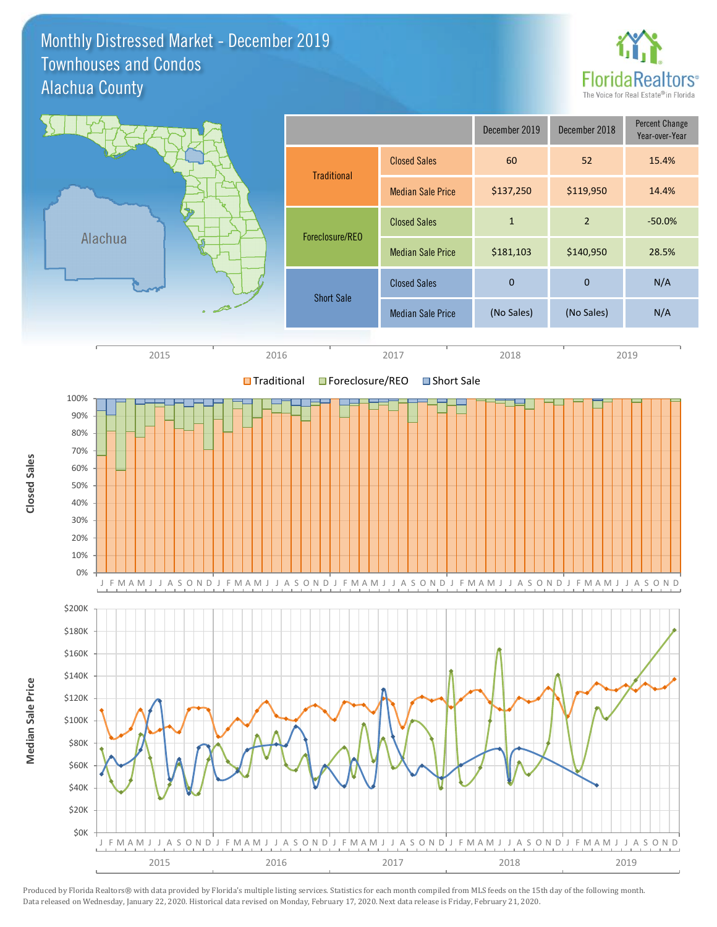### Monthly Distressed Market - December 2019 Alachua County Townhouses and Condos



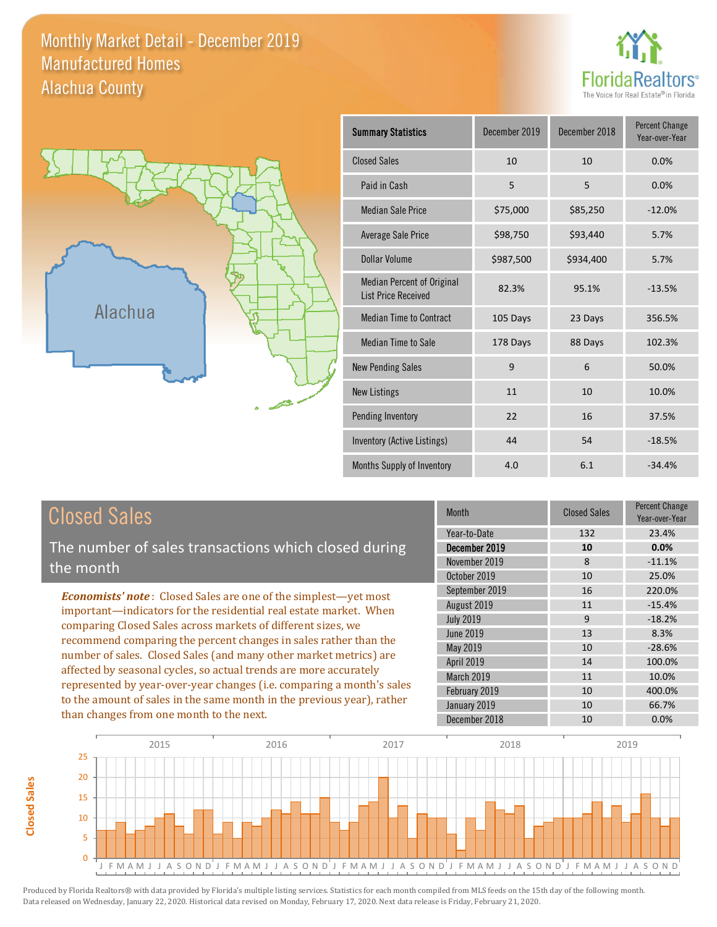# Monthly Market Detail - December 2019 Alachua County Manufactured Homes





**Closed Sales**

**Closed Sales** 

| <b>Summary Statistics</b>                                | December 2019 | December 2018 | <b>Percent Change</b><br>Year-over-Year |
|----------------------------------------------------------|---------------|---------------|-----------------------------------------|
| <b>Closed Sales</b>                                      | 10            | 10            | 0.0%                                    |
| Paid in Cash                                             | 5             | 5             | 0.0%                                    |
| <b>Median Sale Price</b>                                 | \$75,000      | \$85,250      | $-12.0%$                                |
| <b>Average Sale Price</b>                                | \$98,750      | \$93,440      | 5.7%                                    |
| Dollar Volume                                            | \$987,500     | \$934,400     | 5.7%                                    |
| Median Percent of Original<br><b>List Price Received</b> | 82.3%         | 95.1%         | $-13.5%$                                |
| <b>Median Time to Contract</b>                           | 105 Days      | 23 Days       | 356.5%                                  |
| Median Time to Sale                                      | 178 Days      | 88 Days       | 102.3%                                  |
| <b>New Pending Sales</b>                                 | 9             | 6             | 50.0%                                   |
| <b>New Listings</b>                                      | 11            | 10            | 10.0%                                   |
| Pending Inventory                                        | 22            | 16            | 37.5%                                   |
| Inventory (Active Listings)                              | 44            | 54            | $-18.5%$                                |
| Months Supply of Inventory                               | 4.0           | 6.1           | $-34.4%$                                |

| <b>Closed Sales</b>                                                    | <b>Month</b>      | <b>Closed Sales</b> | <b>Percent Change</b><br>Year-over-Year |
|------------------------------------------------------------------------|-------------------|---------------------|-----------------------------------------|
|                                                                        | Year-to-Date      | 132                 | 23.4%                                   |
| The number of sales transactions which closed during                   | December 2019     | 10                  | 0.0%                                    |
| the month                                                              | November 2019     | 8                   | $-11.1%$                                |
|                                                                        | October 2019      | 10                  | 25.0%                                   |
| <b>Economists' note:</b> Closed Sales are one of the simplest—yet most | September 2019    | 16                  | 220.0%                                  |
| important—indicators for the residential real estate market. When      | August 2019       | 11                  | $-15.4%$                                |
| comparing Closed Sales across markets of different sizes, we           | <b>July 2019</b>  | 9                   | $-18.2%$                                |
| recommend comparing the percent changes in sales rather than the       | June 2019         | 13                  | 8.3%                                    |
| number of sales. Closed Sales (and many other market metrics) are      | May 2019          | 10                  | $-28.6%$                                |
| affected by seasonal cycles, so actual trends are more accurately      | <b>April 2019</b> | 14                  | 100.0%                                  |
|                                                                        | <b>March 2019</b> | 11                  | 10.0%                                   |
| represented by year-over-year changes (i.e. comparing a month's sales  | February 2019     | 10                  | 400.0%                                  |
| to the amount of sales in the same month in the previous year), rather | January 2019      | 10                  | 66.7%                                   |
| than changes from one month to the next.                               | December 2018     | 10                  | 0.0%                                    |

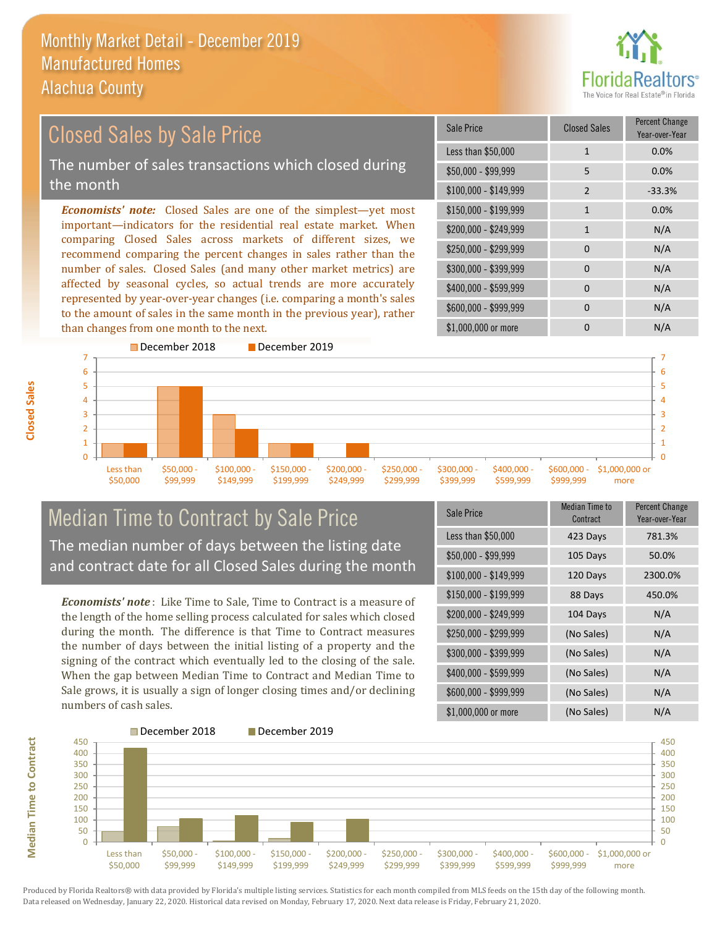

#### *Economists' note:* Closed Sales are one of the simplest—yet most important—indicators for the residential real estate market. When comparing Closed Sales across markets of different sizes, we recommend comparing the percent changes in sales rather than the number of sales. Closed Sales (and many other market metrics) are affected by seasonal cycles, so actual trends are more accurately represented by year-over-year changes (i.e. comparing a month's sales to the amount of sales in the same month in the previous year), rather than changes from one month to the next. \$1,000,000 or more 0 0 N/A \$250,000 - \$299,999 0 0 N/A \$300,000 - \$399,999 0 0 N/A  $$400,000 - $599,999$  0 N/A \$600,000 - \$999,999 0 0 N/A \$150,000 - \$199,999 1 0.0%  $$200,000 - $249,999$  1 N/A  $$100,000 - $149,999$  2 -33.3% Sale Price Closed Sales Percent Change Year-over-Year Less than \$50,000 1 1 0.0% \$50,000 - \$99,999 5 0.0% December 2018 December 2019 Closed Sales by Sale Price The number of sales transactions which closed during the month



# Median Time to Contract by Sale Price The median number of days between the listing date and contract date for all Closed Sales during the month

*Economists' note* : Like Time to Sale, Time to Contract is a measure of the length of the home selling process calculated for sales which closed during the month. The difference is that Time to Contract measures the number of days between the initial listing of a property and the signing of the contract which eventually led to the closing of the sale. When the gap between Median Time to Contract and Median Time to Sale grows, it is usually a sign of longer closing times and/or declining numbers of cash sales.

| Sale Price            | <b>Median Time to</b><br><b>Contract</b> | <b>Percent Change</b><br>Year-over-Year |
|-----------------------|------------------------------------------|-----------------------------------------|
| Less than \$50,000    | 423 Days                                 | 781.3%                                  |
| \$50,000 - \$99,999   | 105 Days                                 | 50.0%                                   |
| $$100,000 - $149,999$ | 120 Days                                 | 2300.0%                                 |
| $$150,000 - $199,999$ | 88 Days                                  | 450.0%                                  |
| \$200,000 - \$249,999 | 104 Days                                 | N/A                                     |
| \$250,000 - \$299,999 | (No Sales)                               | N/A                                     |
| \$300,000 - \$399,999 | (No Sales)                               | N/A                                     |
| \$400,000 - \$599,999 | (No Sales)                               | N/A                                     |
| \$600,000 - \$999,999 | (No Sales)                               | N/A                                     |
| \$1,000,000 or more   | (No Sales)                               | N/A                                     |



**Closed Sales**

**Median Time to Contract Median Time to Contract**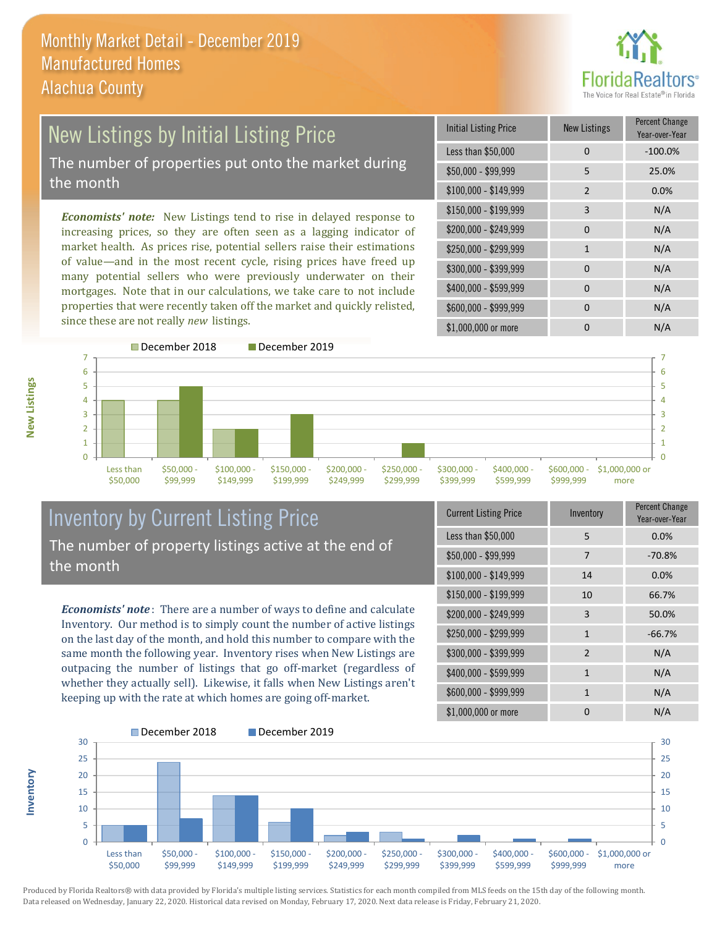

# New Listings by Initial Listing Price The number of properties put onto the market during the month

*Economists' note:* New Listings tend to rise in delayed response to increasing prices, so they are often seen as a lagging indicator of market health. As prices rise, potential sellers raise their estimations of value—and in the most recent cycle, rising prices have freed up many potential sellers who were previously underwater on their mortgages. Note that in our calculations, we take care to not include properties that were recently taken off the market and quickly relisted, since these are not really *new* listings.

| <b>Initial Listing Price</b> | <b>New Listings</b> | <b>Percent Change</b><br>Year-over-Year |
|------------------------------|---------------------|-----------------------------------------|
| Less than \$50,000           | 0                   | $-100.0%$                               |
| \$50,000 - \$99,999          | 5                   | 25.0%                                   |
| $$100,000 - $149,999$        | $\overline{2}$      | 0.0%                                    |
| $$150,000 - $199,999$        | 3                   | N/A                                     |
| \$200,000 - \$249,999        | 0                   | N/A                                     |
| \$250,000 - \$299,999        | $\mathbf{1}$        | N/A                                     |
| \$300,000 - \$399,999        | 0                   | N/A                                     |
| \$400,000 - \$599,999        | 0                   | N/A                                     |
| \$600,000 - \$999,999        | 0                   | N/A                                     |
| \$1,000,000 or more          | n                   | N/A                                     |



# Inventory by Current Listing Price The number of property listings active at the end of the month

*Economists' note* : There are a number of ways to define and calculate Inventory. Our method is to simply count the number of active listings on the last day of the month, and hold this number to compare with the same month the following year. Inventory rises when New Listings are outpacing the number of listings that go off-market (regardless of whether they actually sell). Likewise, it falls when New Listings aren't keeping up with the rate at which homes are going off-market.

| <b>Current Listing Price</b> | Inventory    | Percent Change<br>Year-over-Year |
|------------------------------|--------------|----------------------------------|
| Less than \$50,000           | 5            | 0.0%                             |
| $$50,000 - $99,999$          | 7            | $-70.8%$                         |
| $$100,000 - $149,999$        | 14           | 0.0%                             |
| \$150,000 - \$199,999        | 10           | 66.7%                            |
| \$200,000 - \$249,999        | 3            | 50.0%                            |
| \$250,000 - \$299,999        | $\mathbf{1}$ | $-66.7%$                         |
| \$300,000 - \$399,999        | 2            | N/A                              |
| \$400,000 - \$599,999        | $\mathbf{1}$ | N/A                              |
| \$600,000 - \$999,999        | $\mathbf{1}$ | N/A                              |
| \$1,000,000 or more          | ŋ            | N/A                              |



Produced by Florida Realtors® with data provided by Florida's multiple listing services. Statistics for each month compiled from MLS feeds on the 15th day of the following month. Data released on Wednesday, January 22, 2020. Historical data revised on Monday, February 17, 2020. Next data release is Friday, February 21, 2020.

**Inventory**